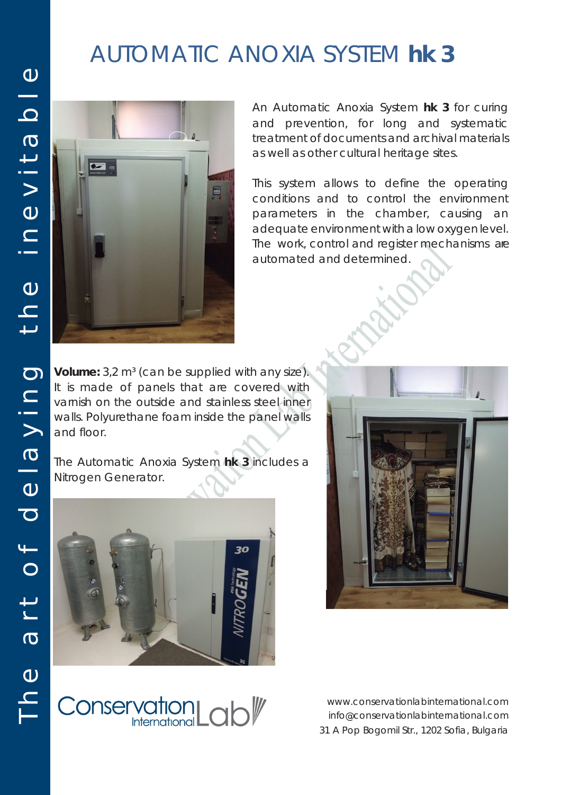## AUTOMATIC ANOXIA SYSTEM *hk 3*



An Automatic Anoxia System *hk 3* for curing and prevention, for long and systematic treatment of documents and archival materials as well as other cultural heritage sites.

This system allows to define the operating conditions and to control the environment parameters in the chamber, causing an adequate environment with a low oxygen level. The work, control and register mechanisms are automated and determined.

**Volume:** 3,2 m<sup>3</sup> (can be supplied with any size). It is made of panels that are covered with varnish on the outside and stainless steel inner walls. Polyurethane foam inside the panel walls and floor.

The Automatic Anoxia System *hk 3* includes a Nitrogen Generator.





Conservation Lab<sup>y</sup>

www.conservationlabinternational.com info@conservationlabinternational.com 31 A Pop Bogomil Str., 1202 Sofia, Bulgaria